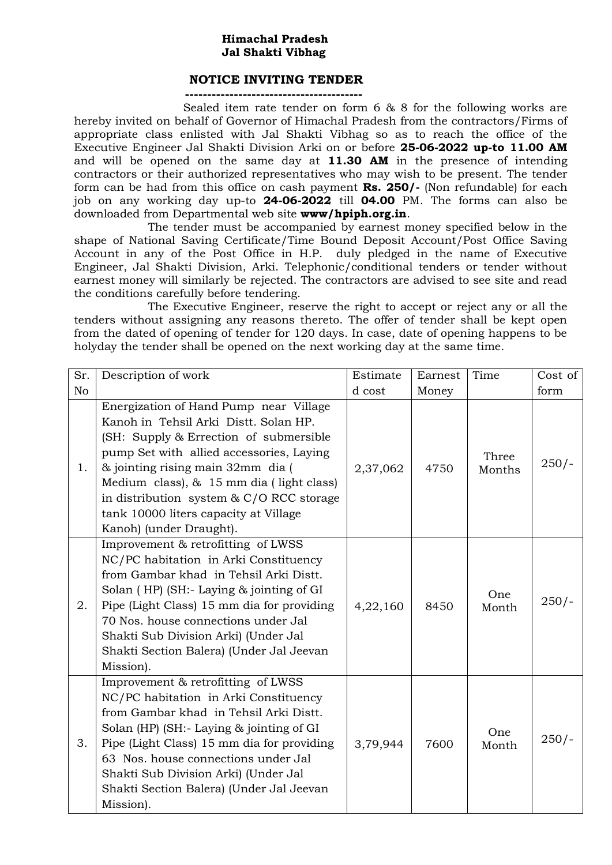## **Himachal Pradesh Jal Shakti Vibhag**

## **NOTICE INVITING TENDER**

**----------------------------------------**

 Sealed item rate tender on form 6 & 8 for the following works are hereby invited on behalf of Governor of Himachal Pradesh from the contractors/Firms of appropriate class enlisted with Jal Shakti Vibhag so as to reach the office of the Executive Engineer Jal Shakti Division Arki on or before **25-06-2022 up-to 11.00 AM**  and will be opened on the same day at **11.30 AM** in the presence of intending contractors or their authorized representatives who may wish to be present. The tender form can be had from this office on cash payment **Rs. 250/-** (Non refundable) for each job on any working day up-to **24-06-2022** till **04.00** PM. The forms can also be downloaded from Departmental web site **www/hpiph.org.in**.

The tender must be accompanied by earnest money specified below in the shape of National Saving Certificate/Time Bound Deposit Account/Post Office Saving Account in any of the Post Office in H.P. duly pledged in the name of Executive Engineer, Jal Shakti Division, Arki. Telephonic/conditional tenders or tender without earnest money will similarly be rejected. The contractors are advised to see site and read the conditions carefully before tendering.

The Executive Engineer, reserve the right to accept or reject any or all the tenders without assigning any reasons thereto. The offer of tender shall be kept open from the dated of opening of tender for 120 days. In case, date of opening happens to be holyday the tender shall be opened on the next working day at the same time.

| Sr.            | Description of work                                                                                                                                                                                                                                                                                                                                                     | Estimate | Earnest | Time            | Cost of |
|----------------|-------------------------------------------------------------------------------------------------------------------------------------------------------------------------------------------------------------------------------------------------------------------------------------------------------------------------------------------------------------------------|----------|---------|-----------------|---------|
| N <sub>o</sub> |                                                                                                                                                                                                                                                                                                                                                                         | d cost   | Money   |                 | form    |
| 1.             | Energization of Hand Pump near Village<br>Kanoh in Tehsil Arki Distt. Solan HP.<br>(SH: Supply & Errection of submersible)<br>pump Set with allied accessories, Laying<br>& jointing rising main 32mm dia (<br>Medium class), & 15 mm dia (light class)<br>in distribution system & C/O RCC storage<br>tank 10000 liters capacity at Village<br>Kanoh) (under Draught). | 2,37,062 | 4750    | Three<br>Months | $250/-$ |
| 2.             | Improvement & retrofitting of LWSS<br>NC/PC habitation in Arki Constituency<br>from Gambar khad in Tehsil Arki Distt.<br>Solan (HP) (SH:- Laying & jointing of GI<br>Pipe (Light Class) 15 mm dia for providing<br>70 Nos. house connections under Jal<br>Shakti Sub Division Arki) (Under Jal<br>Shakti Section Balera) (Under Jal Jeevan<br>Mission).                 | 4,22,160 | 8450    | One<br>Month    | $250/-$ |
| 3.             | Improvement & retrofitting of LWSS<br>NC/PC habitation in Arki Constituency<br>from Gambar khad in Tehsil Arki Distt.<br>Solan (HP) (SH:- Laying & jointing of GI<br>Pipe (Light Class) 15 mm dia for providing<br>63 Nos. house connections under Jal<br>Shakti Sub Division Arki) (Under Jal<br>Shakti Section Balera) (Under Jal Jeevan<br>Mission).                 | 3,79,944 | 7600    | One<br>Month    | $250/-$ |